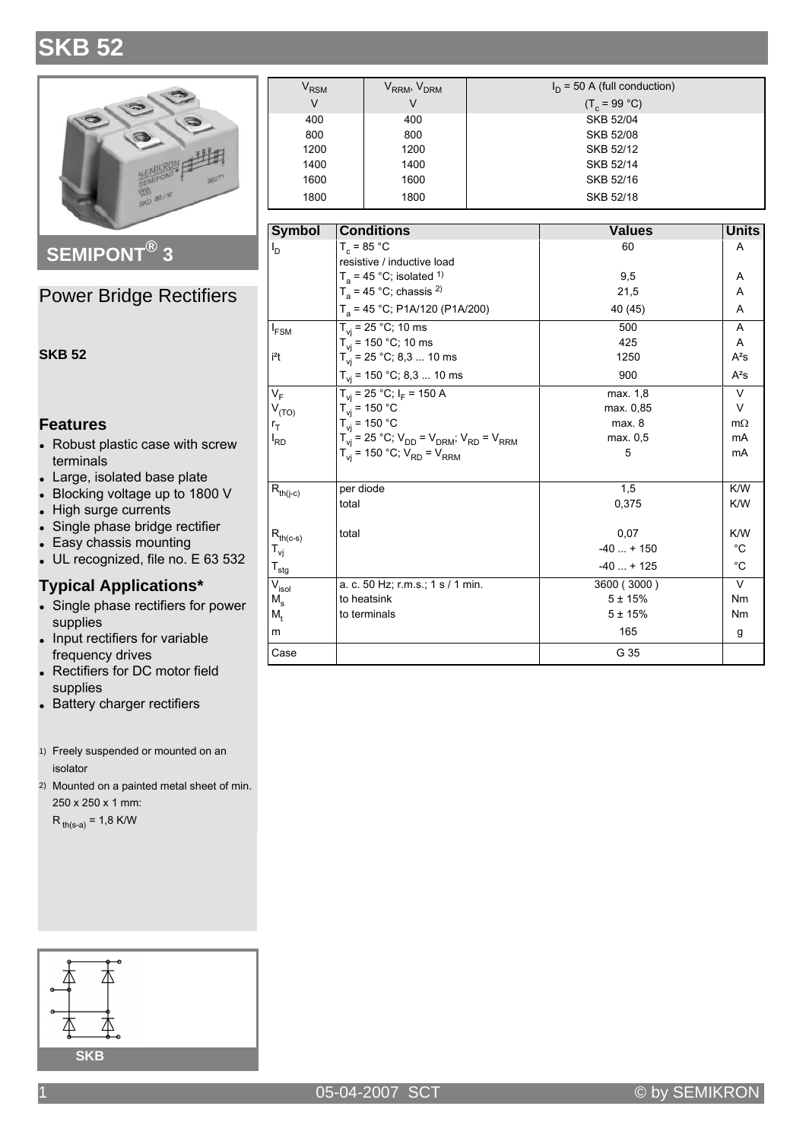# **SKB 52**



SEMIPONT<sup>®</sup> 3

### **Power Bridge Rectifiers**

#### **SKB 52**

### **Features**

- Robust plastic case with screw terminals
- Large, isolated base plate
- Blocking voltage up to 1800 V
- High surge currents
- Single phase bridge rectifier
- Easy chassis mounting
- UL recognized, file no. E 63 532

#### **Typical Applications\***

- Single phase rectifiers for power supplies
- Input rectifiers for variable frequency drives
- Rectifiers for DC motor field supplies
- Battery charger rectifiers
- 1) Freely suspended or mounted on an isolator
- 2) Mounted on a painted metal sheet of min. 250 x 250 x 1 mm:

 $R_{th(s-a)} = 1.8$  K/W



| $\bm{{\mathsf{V}}}_{\mathsf{RSM}}$ | V <sub>RRM</sub> , V <sub>DRM</sub> | $I_D$ = 50 A (full conduction) |
|------------------------------------|-------------------------------------|--------------------------------|
| V                                  | V                                   | $(T_c = 99 °C)$                |
| 400                                | 400                                 | <b>SKB 52/04</b>               |
| 800                                | 800                                 | SKB 52/08                      |
| 1200                               | 1200                                | SKB 52/12                      |
| 1400                               | 1400                                | SKB 52/14                      |
| 1600                               | 1600                                | SKB 52/16                      |
| 1800                               | 1800                                | SKB 52/18                      |

| <b>Symbol</b>                          | <b>Conditions</b>                                                                 | <b>Values</b> | <b>Units</b> |
|----------------------------------------|-----------------------------------------------------------------------------------|---------------|--------------|
| $I_{\mathsf{D}}$                       | $T_c = 85 °C$                                                                     | 60            | A            |
|                                        | resistive / inductive load                                                        |               |              |
|                                        | $T_a$ = 45 °C; isolated <sup>1)</sup>                                             | 9,5           | Α            |
|                                        | $T_a$ = 45 °C; chassis <sup>2)</sup>                                              | 21,5          | A            |
|                                        | $T_a$ = 45 °C; P1A/120 (P1A/200)                                                  | 40 (45)       | A            |
| $I_{FSM}$                              | $T_{vi}$ = 25 °C; 10 ms                                                           | 500           | A            |
|                                        | $T_{vi}$ = 150 °C; 10 ms                                                          | 425           | A            |
| i <sup>2</sup> t                       | $T_{vi}$ = 25 °C; 8,3  10 ms                                                      | 1250          | $A^2S$       |
|                                        | $T_{vi}$ = 150 °C; 8,3  10 ms                                                     | 900           | $A^2S$       |
| $V_F$                                  | $T_{vi}$ = 25 °C; $I_F$ = 150 A                                                   | max. 1,8      | $\vee$       |
| $V_{(TO)}$                             | $T_{\rm vi}$ = 150 °C                                                             | max. 0,85     | $\vee$       |
| $r_T$                                  | $T_{vi}$ = 150 °C                                                                 | max. 8        | $m\Omega$    |
| <sup>I</sup> RD                        | $T_{\rm vi}$ = 25 °C; $V_{\rm DD}$ = $V_{\rm DRM}$ ; $V_{\rm RD}$ = $V_{\rm RRM}$ | max. 0.5      | mA           |
|                                        | $T_{vi}$ = 150 °C; $V_{RD}$ = $V_{RRM}$                                           | 5             | mA           |
| $\mathsf{R}_{\mathsf{th}(j\text{-}c)}$ | per diode                                                                         | 1,5           | K/W          |
|                                        | total                                                                             | 0,375         | K/W          |
| $R_{th(c-s)}$                          | total                                                                             | 0,07          | K/W          |
| T <sub>vj</sub>                        |                                                                                   | $-40 + 150$   | $^{\circ}C$  |
| $\mathsf{T}_{\mathsf{stg}}$            |                                                                                   | $-40 + 125$   | $^{\circ}C$  |
| $V_{\sf isol}$                         | a. c. 50 Hz; r.m.s.; 1 s / 1 min.                                                 | 3600 (3000)   | $\vee$       |
| M、                                     | to heatsink                                                                       | $5 + 15%$     | <b>Nm</b>    |
| M,                                     | to terminals                                                                      | $5 + 15%$     | Nm           |
| m                                      |                                                                                   | 165           | g            |
| Case                                   |                                                                                   | G 35          |              |

05-04-2007 SCT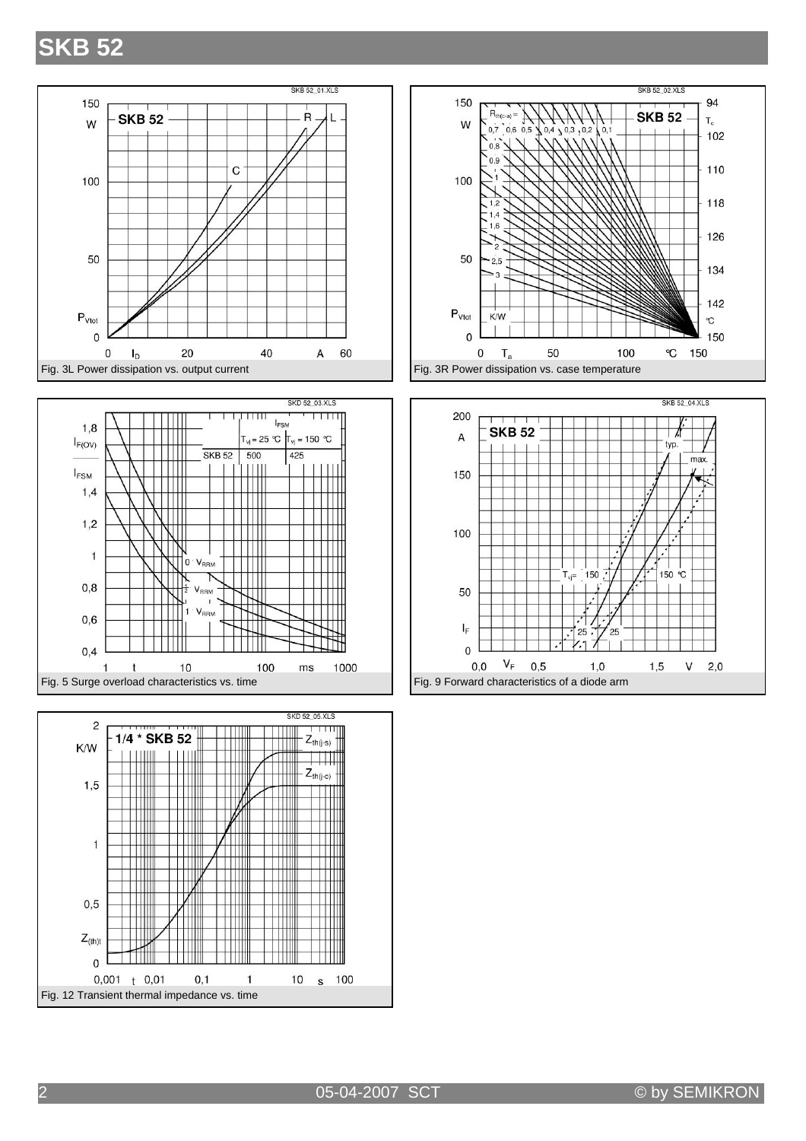### **SKB 52**